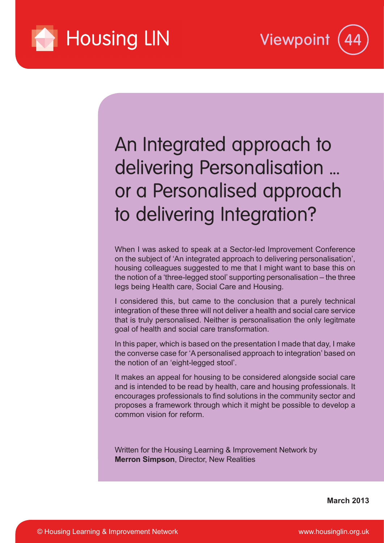



An Integrated approach to delivering Personalisation ... or a Personalised approach to delivering Integration?

When I was asked to speak at a Sector-led Improvement Conference on the subject of 'An integrated approach to delivering personalisation', housing colleagues suggested to me that I might want to base this on the notion of a 'three-legged stool' supporting personalisation – the three legs being Health care, Social Care and Housing.

I considered this, but came to the conclusion that a purely technical integration of these three will not deliver a health and social care service that is truly personalised. Neither is personalisation the only legitmate goal of health and social care transformation.

In this paper, which is based on the presentation I made that day, I make the converse case for 'A personalised approach to integration' based on the notion of an 'eight-legged stool'.

It makes an appeal for housing to be considered alongside social care and is intended to be read by health, care and housing professionals. It encourages professionals to find solutions in the community sector and proposes a framework through which it might be possible to develop a common vision for reform.

Written for the Housing Learning & Improvement Network by **Merron Simpson**, Director, New Realities

**March 2013**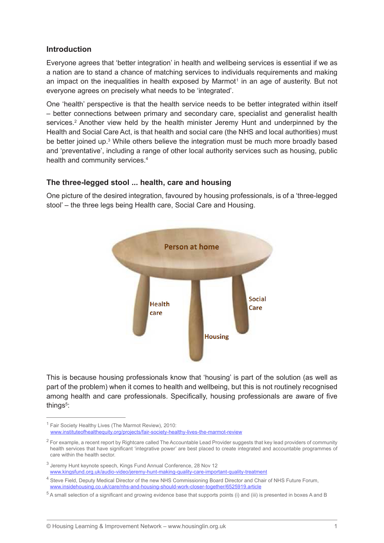### **Introduction**

Everyone agrees that 'better integration' in health and wellbeing services is essential if we as a nation are to stand a chance of matching services to individuals requirements and making an impact on the inequalities in health exposed by Marmot<sup>1</sup> in an age of austerity. But not everyone agrees on precisely what needs to be 'integrated'.

One 'health' perspective is that the health service needs to be better integrated within itself – better connections between primary and secondary care, specialist and generalist health services.<sup>2</sup> Another view held by the health minister Jeremy Hunt and underpinned by the Health and Social Care Act, is that health and social care (the NHS and local authorities) must be better joined up.<sup>3</sup> While others believe the integration must be much more broadly based and 'preventative', including a range of other local authority services such as housing, public health and community services.<sup>4</sup>

## **The three-legged stool ... health, care and housing**

One picture of the desired integration, favoured by housing professionals, is of a 'three-legged stool' – the three legs being Health care, Social Care and Housing.



This is because housing professionals know that 'housing' is part of the solution (as well as part of the problem) when it comes to health and wellbeing, but this is not routinely recognised among health and care professionals. Specifically, housing professionals are aware of five things<sup>5</sup>:

<sup>&</sup>lt;sup>1</sup> Fair Society Healthy Lives (The Marmot Review), 2010: [www.instituteofhealthequity.org/projects/fair-society-healthy-lives-the-marmot-review](http://www.instituteofhealthequity.org/projects/fair-society-healthy-lives-the-marmot-review)

<sup>&</sup>lt;sup>2</sup> For example, a recent report by Rightcare called The Accountable Lead Provider suggests that key lead providers of community health services that have significant 'integrative power' are best placed to create integrated and accountable programmes of care within the health sector.

<sup>&</sup>lt;sup>3</sup> Jeremy Hunt keynote speech, Kings Fund Annual Conference, 28 Nov 12 [www.kingsfund.org.uk/audio-video/jeremy-hunt-making-quality-care-important-quality-treatment](http://www.kingsfund.org.uk/audio-video/jeremy-hunt-making-quality-care-important-quality-treatment)

<sup>&</sup>lt;sup>4</sup> Steve Field, Deputy Medical Director of the new NHS Commissioning Board Director and Chair of NHS Future Forum, [www.insidehousing.co.uk/care/nhs-and-housing-should-work-closer-together/6525919.article](http://www.insidehousing.co.uk/care/nhs-and-housing-should-work-closer-together/6525919.article)

<sup>&</sup>lt;sup>5</sup> A small selection of a significant and growing evidence base that supports points (i) and (iii) is presented in boxes A and B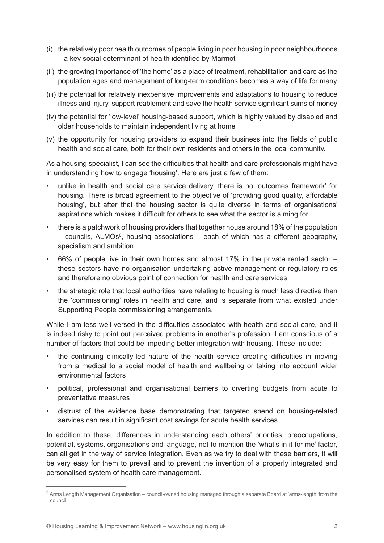- (i) the relatively poor health outcomes of people living in poor housing in poor neighbourhoods – a key social determinant of health identified by Marmot
- (ii) the growing importance of 'the home' as a place of treatment, rehabilitation and care as the population ages and management of long-term conditions becomes a way of life for many
- (iii) the potential for relatively inexpensive improvements and adaptations to housing to reduce illness and injury, support reablement and save the health service significant sums of money
- (iv) the potential for 'low-level' housing-based support, which is highly valued by disabled and older households to maintain independent living at home
- (v) the opportunity for housing providers to expand their business into the fields of public health and social care, both for their own residents and others in the local community.

As a housing specialist, I can see the difficulties that health and care professionals might have in understanding how to engage 'housing'. Here are just a few of them:

- unlike in health and social care service delivery, there is no 'outcomes framework' for housing. There is broad agreement to the objective of 'providing good quality, affordable housing', but after that the housing sector is quite diverse in terms of organisations' aspirations which makes it difficult for others to see what the sector is aiming for
- there is a patchwork of housing providers that together house around 18% of the population – councils, ALMOs<sup>6</sup>, housing associations – each of which has a different geography, specialism and ambition
- 66% of people live in their own homes and almost 17% in the private rented sector  $$ these sectors have no organisation undertaking active management or regulatory roles and therefore no obvious point of connection for health and care services
- the strategic role that local authorities have relating to housing is much less directive than the 'commissioning' roles in health and care, and is separate from what existed under Supporting People commissioning arrangements.

While I am less well-versed in the difficulties associated with health and social care, and it is indeed risky to point out perceived problems in another's profession, I am conscious of a number of factors that could be impeding better integration with housing. These include:

- the continuing clinically-led nature of the health service creating difficulties in moving from a medical to a social model of health and wellbeing or taking into account wider environmental factors
- political, professional and organisational barriers to diverting budgets from acute to preventative measures
- distrust of the evidence base demonstrating that targeted spend on housing-related services can result in significant cost savings for acute health services.

In addition to these, differences in understanding each others' priorities, preoccupations, potential, systems, organisations and language, not to mention the 'what's in it for me' factor, can all get in the way of service integration. Even as we try to deal with these barriers, it will be very easy for them to prevail and to prevent the invention of a properly integrated and personalised system of health care management.

<sup>&</sup>lt;sup>6</sup> Arms Length Management Organisation – council-owned housing managed through a separate Board at 'arms-length' from the council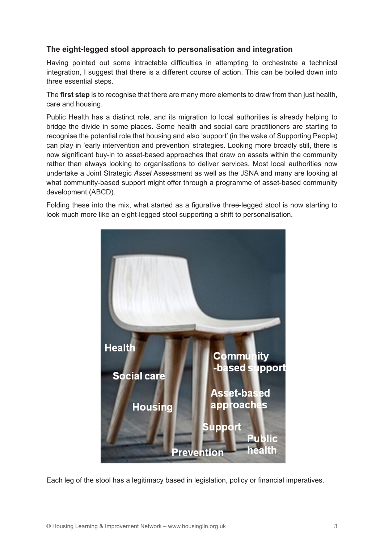# **The eight-legged stool approach to personalisation and integration**

Having pointed out some intractable difficulties in attempting to orchestrate a technical integration, I suggest that there is a different course of action. This can be boiled down into three essential steps.

The **first step** is to recognise that there are many more elements to draw from than just health, care and housing.

Public Health has a distinct role, and its migration to local authorities is already helping to bridge the divide in some places. Some health and social care practitioners are starting to recognise the potential role that housing and also 'support' (in the wake of Supporting People) can play in 'early intervention and prevention' strategies. Looking more broadly still, there is now significant buy-in to asset-based approaches that draw on assets within the community rather than always looking to organisations to deliver services. Most local authorities now undertake a Joint Strategic *Asset* Assessment as well as the JSNA and many are looking at what community-based support might offer through a programme of asset-based community development (ABCD).

Folding these into the mix, what started as a figurative three-legged stool is now starting to look much more like an eight-legged stool supporting a shift to personalisation.



Each leg of the stool has a legitimacy based in legislation, policy or financial imperatives.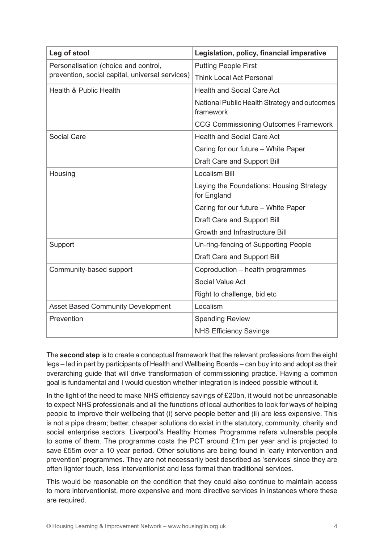| Leg of stool                                                                            | Legislation, policy, financial imperative                 |
|-----------------------------------------------------------------------------------------|-----------------------------------------------------------|
| Personalisation (choice and control,<br>prevention, social capital, universal services) | <b>Putting People First</b>                               |
|                                                                                         | <b>Think Local Act Personal</b>                           |
| Health & Public Health                                                                  | <b>Health and Social Care Act</b>                         |
|                                                                                         | National Public Health Strategy and outcomes<br>framework |
|                                                                                         | <b>CCG Commissioning Outcomes Framework</b>               |
| Social Care                                                                             | <b>Health and Social Care Act</b>                         |
|                                                                                         | Caring for our future - White Paper                       |
|                                                                                         | Draft Care and Support Bill                               |
| Housing                                                                                 | <b>Localism Bill</b>                                      |
|                                                                                         | Laying the Foundations: Housing Strategy<br>for England   |
|                                                                                         | Caring for our future – White Paper                       |
|                                                                                         | Draft Care and Support Bill                               |
|                                                                                         | Growth and Infrastructure Bill                            |
| Support                                                                                 | Un-ring-fencing of Supporting People                      |
|                                                                                         | Draft Care and Support Bill                               |
| Community-based support                                                                 | Coproduction – health programmes                          |
|                                                                                         | Social Value Act                                          |
|                                                                                         | Right to challenge, bid etc                               |
| <b>Asset Based Community Development</b>                                                | Localism                                                  |
| Prevention                                                                              | <b>Spending Review</b>                                    |
|                                                                                         | <b>NHS Efficiency Savings</b>                             |

The **second step** is to create a conceptual framework that the relevant professions from the eight legs – led in part by participants of Health and Wellbeing Boards – can buy into and adopt as their overarching guide that will drive transformation of commissioning practice. Having a common goal is fundamental and I would question whether integration is indeed possible without it.

In the light of the need to make NHS efficiency savings of £20bn, it would not be unreasonable to expect NHS professionals and all the functions of local authorities to look for ways of helping people to improve their wellbeing that (i) serve people better and (ii) are less expensive. This is not a pipe dream; better, cheaper solutions do exist in the statutory, community, charity and social enterprise sectors. Liverpool's Healthy Homes Programme refers vulnerable people to some of them. The programme costs the PCT around £1m per year and is projected to save £55m over a 10 year period. Other solutions are being found in 'early intervention and prevention' programmes. They are not necessarily best described as 'services' since they are often lighter touch, less interventionist and less formal than traditional services.

This would be reasonable on the condition that they could also continue to maintain access to more interventionist, more expensive and more directive services in instances where these are required.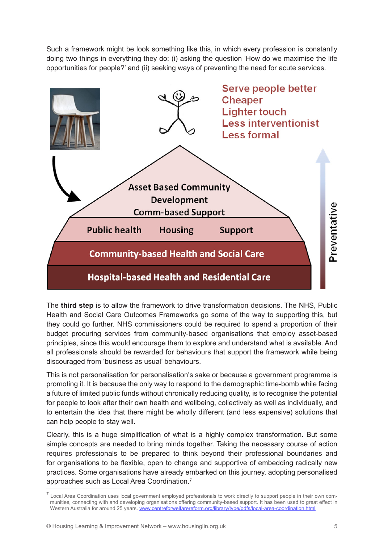Such a framework might be look something like this, in which every profession is constantly doing two things in everything they do: (i) asking the question 'How do we maximise the life opportunities for people?' and (ii) seeking ways of preventing the need for acute services.



The **third step** is to allow the framework to drive transformation decisions. The NHS, Public Health and Social Care Outcomes Frameworks go some of the way to supporting this, but they could go further. NHS commissioners could be required to spend a proportion of their budget procuring services from community-based organisations that employ asset-based principles, since this would encourage them to explore and understand what is available. And all professionals should be rewarded for behaviours that support the framework while being discouraged from 'business as usual' behaviours.

This is not personalisation for personalisation's sake or because a government programme is promoting it. It is because the only way to respond to the demographic time-bomb while facing a future of limited public funds without chronically reducing quality, is to recognise the potential for people to look after their own health and wellbeing, collectively as well as individually, and to entertain the idea that there might be wholly different (and less expensive) solutions that can help people to stay well.

Clearly, this is a huge simplification of what is a highly complex transformation. But some simple concepts are needed to bring minds together. Taking the necessary course of action requires professionals to be prepared to think beyond their professional boundaries and for organisations to be flexible, open to change and supportive of embedding radically new practices. Some organisations have already embarked on this journey, adopting personalised approaches such as Local Area Coordination.7

 $^7$  Local Area Coordination uses local government employed professionals to work directly to support people in their own communities, connecting with and developing organisations offering community-based support. It has been used to great effect in Western Australia for around 25 years[. www.centreforwelfarereform.org/library/type/pdfs/local-area-coordination.html](http://www.centreforwelfarereform.org/library/type/pdfs/local-area-coordination.html)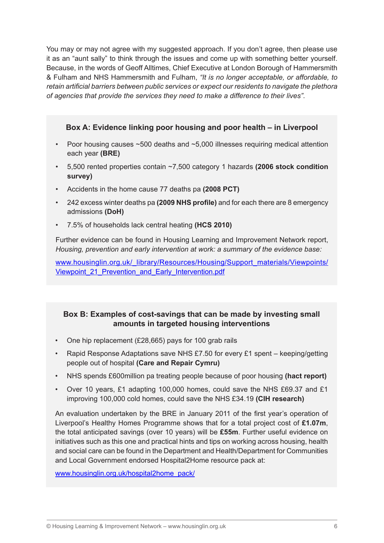You may or may not agree with my suggested approach. If you don't agree, then please use it as an "aunt sally" to think through the issues and come up with something better yourself. Because, in the words of Geoff Alltimes, Chief Executive at London Borough of Hammersmith & Fulham and NHS Hammersmith and Fulham, *"It is no longer acceptable, or affordable, to retain artificial barriers between public services or expect our residents to navigate the plethora of agencies that provide the services they need to make a difference to their lives"*.

**Box A: Evidence linking poor housing and poor health – in Liverpool** 

- Poor housing causes ~500 deaths and ~5,000 illnesses requiring medical attention each year **(BRE)**
- 5,500 rented properties contain ~7,500 category 1 hazards **(2006 stock condition survey)**
- Accidents in the home cause 77 deaths pa **(2008 PCT)**
- 242 excess winter deaths pa **(2009 NHS profile)** and for each there are 8 emergency admissions **(DoH)**
- 7.5% of households lack central heating **(HCS 2010)**

Further evidence can be found in Housing Learning and Improvement Network report, *Housing, prevention and early intervention at work: a summary of the evidence base:*

[www.housinglin.org.uk/\\_library/Resources/Housing/Support\\_materials/Viewpoints/](http://www.housinglin.org.uk/_library/Resources/Housing/Support_materials/Viewpoints/Viewpoint_21_Prevention_and_Early_Intervention.pdf) Viewpoint 21 Prevention and Early Intervention.pdf

# **Box B: Examples of cost-savings that can be made by investing small amounts in targeted housing interventions**

- One hip replacement (£28,665) pays for 100 grab rails
- Rapid Response Adaptations save NHS £7.50 for every £1 spent keeping/getting people out of hospital **(Care and Repair Cymru)**
- NHS spends £600million pa treating people because of poor housing **(hact report)**
- Over 10 years, £1 adapting 100,000 homes, could save the NHS £69.37 and £1 improving 100,000 cold homes, could save the NHS £34.19 **(CIH research)**

An evaluation undertaken by the BRE in January 2011 of the first year's operation of Liverpool's Healthy Homes Programme shows that for a total project cost of **£1.07m**, the total anticipated savings (over 10 years) will be **£55m**. Further useful evidence on initiatives such as this one and practical hints and tips on working across housing, health and social care can be found in the Department and Health/Department for Communities and Local Government endorsed Hospital2Home resource pack at:

[www.housinglin.org.uk/hospital2home\\_pack/](www.housinglin.org.uk/hospital2home_pack/)